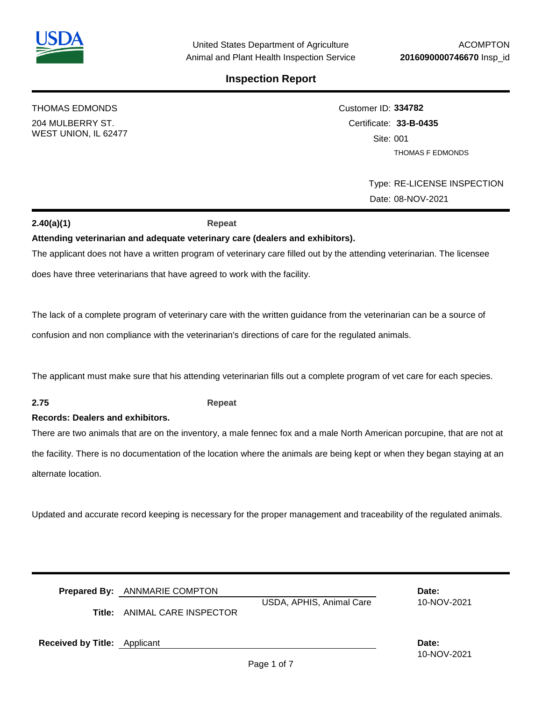THOMAS EDMONDS

204 MULBERRY ST. WEST UNION, IL 62477

# Customer ID: **334782** Certificate: **33-B-0435**  Site: 001 THOMAS F EDMONDS

Type: RE-LICENSE INSPECTION Date: 08-NOV-2021

## **2.40(a)(1) Repeat**

## **Attending veterinarian and adequate veterinary care (dealers and exhibitors).**

The applicant does not have a written program of veterinary care filled out by the attending veterinarian. The licensee

does have three veterinarians that have agreed to work with the facility.

The lack of a complete program of veterinary care with the written guidance from the veterinarian can be a source of

confusion and non compliance with the veterinarian's directions of care for the regulated animals.

The applicant must make sure that his attending veterinarian fills out a complete program of vet care for each species.

## **2.75 Repeat**

### **Records: Dealers and exhibitors.**

There are two animals that are on the inventory, a male fennec fox and a male North American porcupine, that are not at the facility. There is no documentation of the location where the animals are being kept or when they began staying at an alternate location.

Updated and accurate record keeping is necessary for the proper management and traceability of the regulated animals.

|                                     | <b>Prepared By:</b> ANNMARIE COMPTON |                          | Date:       |
|-------------------------------------|--------------------------------------|--------------------------|-------------|
|                                     |                                      | USDA, APHIS, Animal Care | 10-NOV-2021 |
| Title:                              | ANIMAL CARE INSPECTOR                |                          |             |
|                                     |                                      |                          |             |
|                                     |                                      |                          | Date:       |
| <b>Received by Title:</b> Applicant |                                      |                          |             |
|                                     |                                      |                          | 10-NOV-2021 |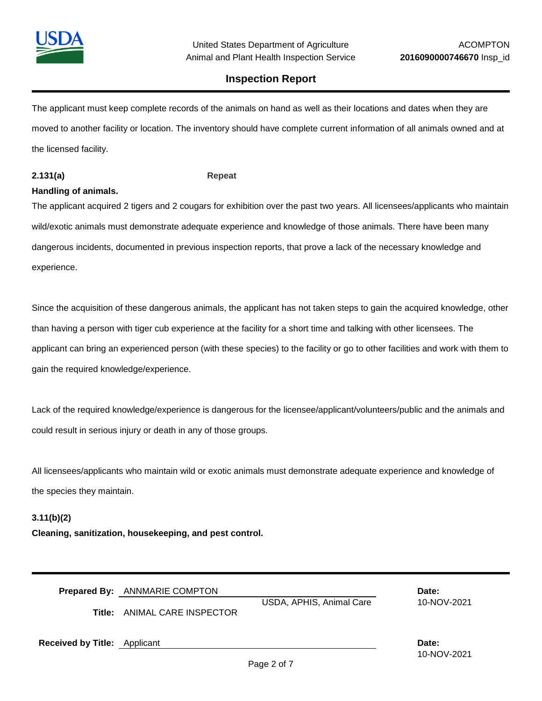

The applicant must keep complete records of the animals on hand as well as their locations and dates when they are moved to another facility or location. The inventory should have complete current information of all animals owned and at the licensed facility.

#### **2.131(a) Repeat**

### **Handling of animals.**

The applicant acquired 2 tigers and 2 cougars for exhibition over the past two years. All licensees/applicants who maintain wild/exotic animals must demonstrate adequate experience and knowledge of those animals. There have been many dangerous incidents, documented in previous inspection reports, that prove a lack of the necessary knowledge and experience.

Since the acquisition of these dangerous animals, the applicant has not taken steps to gain the acquired knowledge, other than having a person with tiger cub experience at the facility for a short time and talking with other licensees. The applicant can bring an experienced person (with these species) to the facility or go to other facilities and work with them to gain the required knowledge/experience.

Lack of the required knowledge/experience is dangerous for the licensee/applicant/volunteers/public and the animals and could result in serious injury or death in any of those groups.

All licensees/applicants who maintain wild or exotic animals must demonstrate adequate experience and knowledge of the species they maintain.

#### **3.11(b)(2)**

**Cleaning, sanitization, housekeeping, and pest control.**

| <b>Prepared By: ANNMARIE COMPTON</b> | Date: |
|--------------------------------------|-------|
|                                      |       |

USDA, APHIS, Animal Care 10-NOV-2021

**Title:** ANIMAL CARE INSPECTOR

**Received by Title:** Applicant **Date:**

10-NOV-2021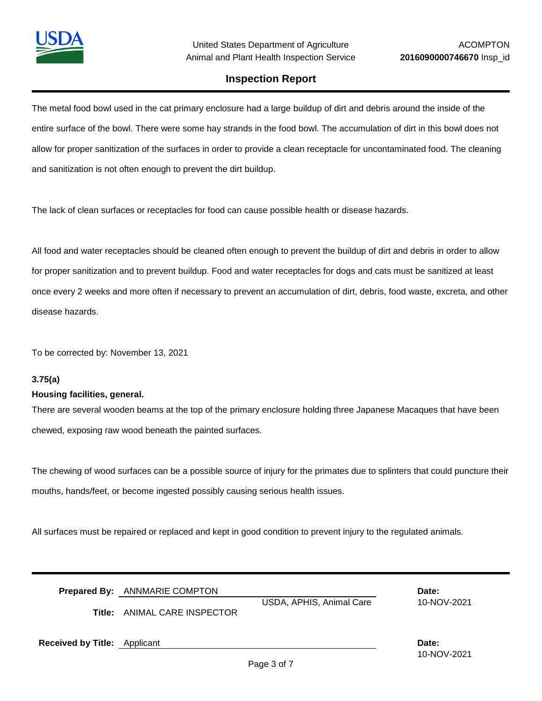

The metal food bowl used in the cat primary enclosure had a large buildup of dirt and debris around the inside of the entire surface of the bowl. There were some hay strands in the food bowl. The accumulation of dirt in this bowl does not allow for proper sanitization of the surfaces in order to provide a clean receptacle for uncontaminated food. The cleaning and sanitization is not often enough to prevent the dirt buildup.

The lack of clean surfaces or receptacles for food can cause possible health or disease hazards.

All food and water receptacles should be cleaned often enough to prevent the buildup of dirt and debris in order to allow for proper sanitization and to prevent buildup. Food and water receptacles for dogs and cats must be sanitized at least once every 2 weeks and more often if necessary to prevent an accumulation of dirt, debris, food waste, excreta, and other disease hazards.

To be corrected by: November 13, 2021

#### **3.75(a)**

#### **Housing facilities, general.**

There are several wooden beams at the top of the primary enclosure holding three Japanese Macaques that have been chewed, exposing raw wood beneath the painted surfaces.

The chewing of wood surfaces can be a possible source of injury for the primates due to splinters that could puncture their mouths, hands/feet, or become ingested possibly causing serious health issues.

All surfaces must be repaired or replaced and kept in good condition to prevent injury to the regulated animals.

|                                     | <b>Prepared By:</b> ANNMARIE COMPTON<br><b>Title:</b> ANIMAL CARE INSPECTOR | USDA, APHIS, Animal Care | Date:<br>10-NOV-2021 |
|-------------------------------------|-----------------------------------------------------------------------------|--------------------------|----------------------|
| <b>Received by Title:</b> Applicant |                                                                             |                          | Date:<br>10-NOV-2021 |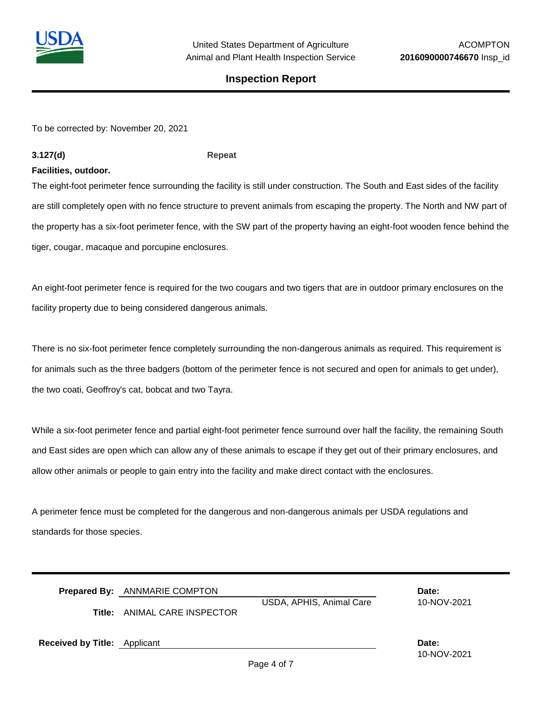

To be corrected by: November 20, 2021

### **3.127(d) Repeat**

#### **Facilities, outdoor.**

The eight-foot perimeter fence surrounding the facility is still under construction. The South and East sides of the facility are still completely open with no fence structure to prevent animals from escaping the property. The North and NW part of the property has a six-foot perimeter fence, with the SW part of the property having an eight-foot wooden fence behind the tiger, cougar, macaque and porcupine enclosures.

An eight-foot perimeter fence is required for the two cougars and two tigers that are in outdoor primary enclosures on the facility property due to being considered dangerous animals.

There is no six-foot perimeter fence completely surrounding the non-dangerous animals as required. This requirement is for animals such as the three badgers (bottom of the perimeter fence is not secured and open for animals to get under), the two coati, Geoffroy's cat, bobcat and two Tayra.

While a six-foot perimeter fence and partial eight-foot perimeter fence surround over half the facility, the remaining South and East sides are open which can allow any of these animals to escape if they get out of their primary enclosures, and allow other animals or people to gain entry into the facility and make direct contact with the enclosures.

A perimeter fence must be completed for the dangerous and non-dangerous animals per USDA regulations and standards for those species.

|                                     | <b>Prepared By:</b> ANNMARIE COMPTON |                          | Date:                |
|-------------------------------------|--------------------------------------|--------------------------|----------------------|
|                                     | <b>Title:</b> ANIMAL CARE INSPECTOR  | USDA, APHIS, Animal Care | 10-NOV-2021          |
| <b>Received by Title: Applicant</b> |                                      |                          | Date:<br>10-NOV-2021 |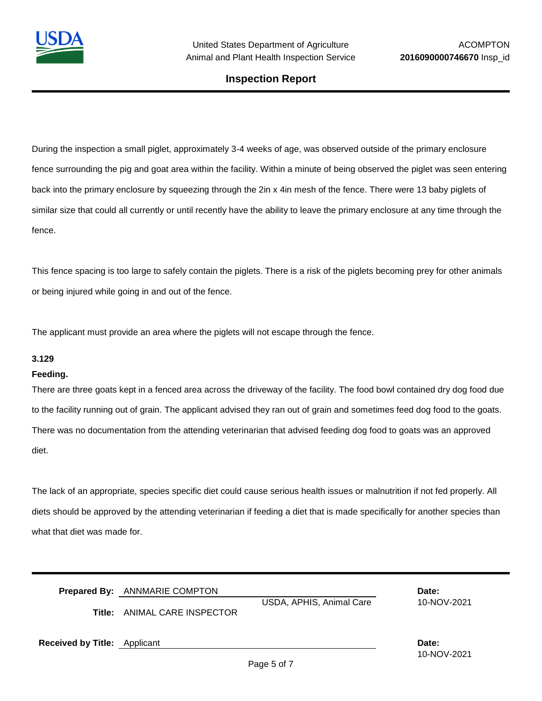

During the inspection a small piglet, approximately 3-4 weeks of age, was observed outside of the primary enclosure fence surrounding the pig and goat area within the facility. Within a minute of being observed the piglet was seen entering back into the primary enclosure by squeezing through the 2in x 4in mesh of the fence. There were 13 baby piglets of similar size that could all currently or until recently have the ability to leave the primary enclosure at any time through the fence.

This fence spacing is too large to safely contain the piglets. There is a risk of the piglets becoming prey for other animals or being injured while going in and out of the fence.

The applicant must provide an area where the piglets will not escape through the fence.

#### **3.129**

#### **Feeding.**

There are three goats kept in a fenced area across the driveway of the facility. The food bowl contained dry dog food due to the facility running out of grain. The applicant advised they ran out of grain and sometimes feed dog food to the goats. There was no documentation from the attending veterinarian that advised feeding dog food to goats was an approved diet.

The lack of an appropriate, species specific diet could cause serious health issues or malnutrition if not fed properly. All diets should be approved by the attending veterinarian if feeding a diet that is made specifically for another species than what that diet was made for.

|                                     | <b>Prepared By:</b> ANNMARIE COMPTON |                          | Date:                |
|-------------------------------------|--------------------------------------|--------------------------|----------------------|
|                                     | <b>Title:</b> ANIMAL CARE INSPECTOR  | USDA, APHIS, Animal Care | 10-NOV-2021          |
| <b>Received by Title:</b> Applicant |                                      |                          | Date:<br>10-NOV-2021 |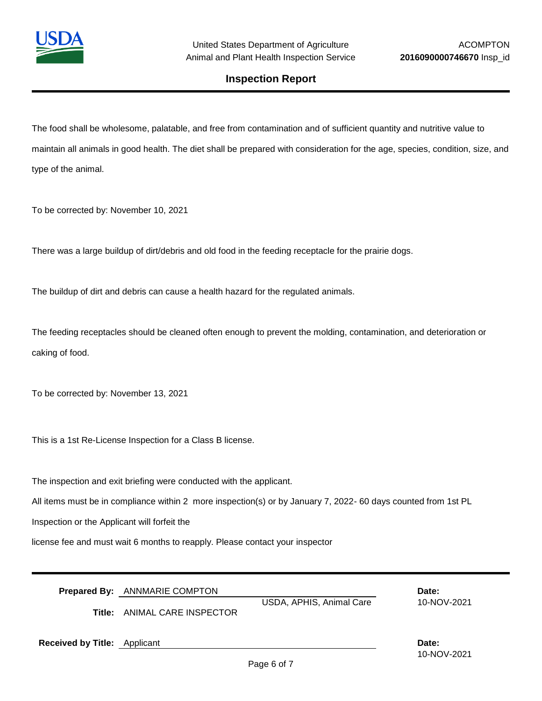

The food shall be wholesome, palatable, and free from contamination and of sufficient quantity and nutritive value to maintain all animals in good health. The diet shall be prepared with consideration for the age, species, condition, size, and type of the animal.

To be corrected by: November 10, 2021

There was a large buildup of dirt/debris and old food in the feeding receptacle for the prairie dogs.

The buildup of dirt and debris can cause a health hazard for the regulated animals.

The feeding receptacles should be cleaned often enough to prevent the molding, contamination, and deterioration or caking of food.

To be corrected by: November 13, 2021

This is a 1st Re-License Inspection for a Class B license.

The inspection and exit briefing were conducted with the applicant.

All items must be in compliance within 2 more inspection(s) or by January 7, 2022- 60 days counted from 1st PL

Inspection or the Applicant will forfeit the

license fee and must wait 6 months to reapply. Please contact your inspector

|  | Prepared By: ANNMARIE COMPTON | Date: |
|--|-------------------------------|-------|
|--|-------------------------------|-------|

USDA, APHIS, Animal Care 10-NOV-2021

**Title:** ANIMAL CARE INSPECTOR

**Received by Title:** Applicant **Date:**

10-NOV-2021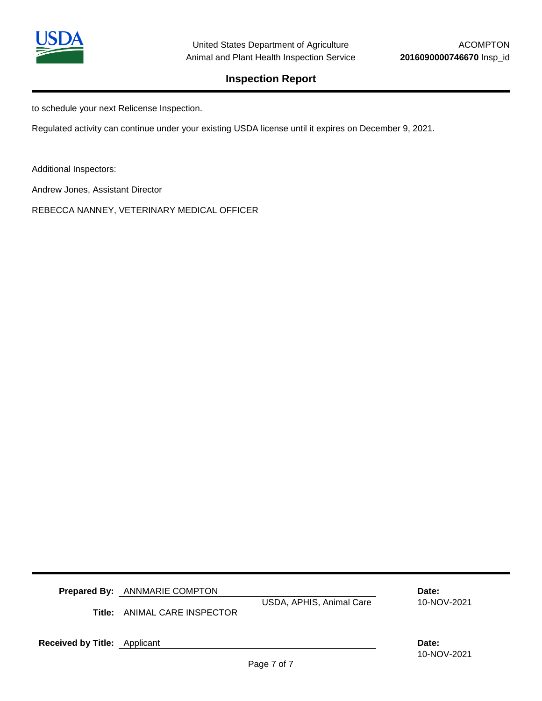

to schedule your next Relicense Inspection.

Regulated activity can continue under your existing USDA license until it expires on December 9, 2021.

Additional Inspectors:

Andrew Jones, Assistant Director

REBECCA NANNEY, VETERINARY MEDICAL OFFICER

**Prepared By:** ANNMARIE COMPTON **Date:**

**Title:** ANIMAL CARE INSPECTOR

USDA, APHIS, Animal Care 10-NOV-2021

**Received by Title:** Applicant **Date: Date: Date: Date: Date: Date: Date: Date: Date: Date: Date: Date: Date: Date: Date: Date: Date: Date: Date: Date: Date: Date: Date: Date:** 

10-NOV-2021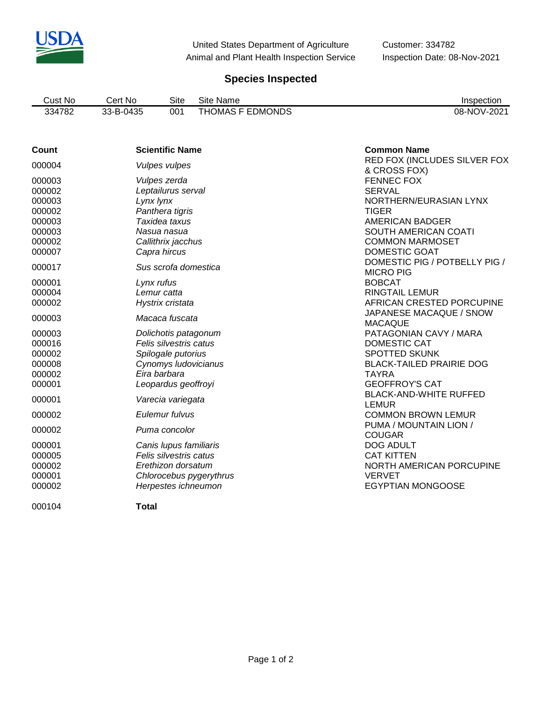

United States Department of Agriculture Customer: 334782 Animal and Plant Health Inspection Service Inspection Date: 08-Nov-2021

# **Species Inspected**

| Cust No | No.<br>'∩rt<br>וושע | Site | Site Name                   | Inspection  |
|---------|---------------------|------|-----------------------------|-------------|
| 334782  | 33-B-0435<br>JJ.    | 001  | <b>EDMONDS</b><br>. HOMAS F | 08-NOV-2021 |

| Count  | <b>Scientific Name</b>  | <b>Common Name</b>                           |
|--------|-------------------------|----------------------------------------------|
| 000004 | <b>Vulpes vulpes</b>    | RED FOX (INCLUDES SILVER FOX<br>& CROSS FOX) |
| 000003 | Vulpes zerda            | <b>FENNEC FOX</b>                            |
| 000002 | Leptailurus serval      | <b>SERVAL</b>                                |
| 000003 | Lynx lynx               | NORTHERN/EURASIAN LYNX                       |
| 000002 | Panthera tigris         | <b>TIGER</b>                                 |
| 000003 | Taxidea taxus           | AMERICAN BADGER                              |
| 000003 | Nasua nasua             | SOUTH AMERICAN COATI                         |
| 000002 | Callithrix jacchus      | <b>COMMON MARMOSET</b>                       |
| 000007 | Capra hircus            | DOMESTIC GOAT                                |
|        |                         | DOMESTIC PIG / POTBELLY PIG /                |
| 000017 | Sus scrofa domestica    | <b>MICRO PIG</b>                             |
| 000001 | Lynx rufus              | <b>BOBCAT</b>                                |
| 000004 | Lemur catta             | <b>RINGTAIL LEMUR</b>                        |
| 000002 | Hystrix cristata        | AFRICAN CRESTED PORCUPINE                    |
|        |                         | JAPANESE MACAQUE / SNOW                      |
| 000003 | Macaca fuscata          | <b>MACAQUE</b>                               |
| 000003 | Dolichotis patagonum    | PATAGONIAN CAVY / MARA                       |
| 000016 | Felis silvestris catus  | DOMESTIC CAT                                 |
| 000002 | Spilogale putorius      | <b>SPOTTED SKUNK</b>                         |
| 000008 | Cynomys Iudovicianus    | <b>BLACK-TAILED PRAIRIE DOG</b>              |
| 000002 | Eira barbara            | <b>TAYRA</b>                                 |
| 000001 | Leopardus geoffroyi     | <b>GEOFFROY'S CAT</b>                        |
|        |                         | <b>BLACK-AND-WHITE RUFFED</b>                |
| 000001 | Varecia variegata       | <b>LEMUR</b>                                 |
| 000002 | Eulemur fulvus          | <b>COMMON BROWN LEMUR</b>                    |
|        |                         | PUMA / MOUNTAIN LION /                       |
| 000002 | Puma concolor           | <b>COUGAR</b>                                |
| 000001 | Canis lupus familiaris  | <b>DOG ADULT</b>                             |
| 000005 | Felis silvestris catus  | <b>CAT KITTEN</b>                            |
| 000002 | Erethizon dorsatum      | NORTH AMERICAN PORCUPINE                     |
| 000001 | Chlorocebus pygerythrus | <b>VERVET</b>                                |
| 000002 | Herpestes ichneumon     | <b>EGYPTIAN MONGOOSE</b>                     |
|        |                         |                                              |
| 000104 | <b>Total</b>            |                                              |